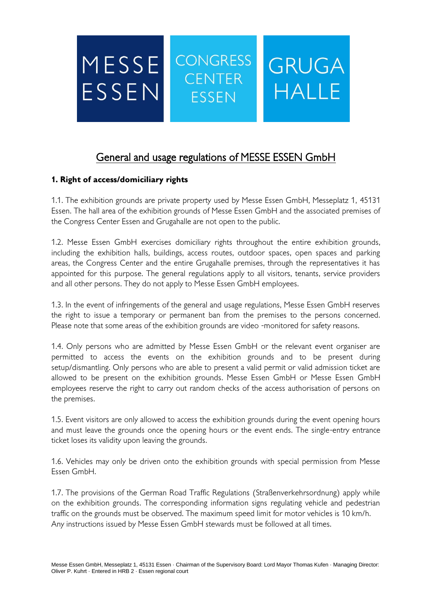

# General and usage regulations of MESSE ESSEN GmbH

## **1. Right of access/domiciliary rights**

1.1. The exhibition grounds are private property used by Messe Essen GmbH, Messeplatz 1, 45131 Essen. The hall area of the exhibition grounds of Messe Essen GmbH and the associated premises of the Congress Center Essen and Grugahalle are not open to the public.

1.2. Messe Essen GmbH exercises domiciliary rights throughout the entire exhibition grounds, including the exhibition halls, buildings, access routes, outdoor spaces, open spaces and parking areas, the Congress Center and the entire Grugahalle premises, through the representatives it has appointed for this purpose. The general regulations apply to all visitors, tenants, service providers and all other persons. They do not apply to Messe Essen GmbH employees.

1.3. In the event of infringements of the general and usage regulations, Messe Essen GmbH reserves the right to issue a temporary or permanent ban from the premises to the persons concerned. Please note that some areas of the exhibition grounds are video -monitored for safety reasons.

1.4. Only persons who are admitted by Messe Essen GmbH or the relevant event organiser are permitted to access the events on the exhibition grounds and to be present during setup/dismantling. Only persons who are able to present a valid permit or valid admission ticket are allowed to be present on the exhibition grounds. Messe Essen GmbH or Messe Essen GmbH employees reserve the right to carry out random checks of the access authorisation of persons on the premises.

1.5. Event visitors are only allowed to access the exhibition grounds during the event opening hours and must leave the grounds once the opening hours or the event ends. The single-entry entrance ticket loses its validity upon leaving the grounds.

1.6. Vehicles may only be driven onto the exhibition grounds with special permission from Messe Essen GmbH.

1.7. The provisions of the German Road Traffic Regulations (Straßenverkehrsordnung) apply while on the exhibition grounds. The corresponding information signs regulating vehicle and pedestrian traffic on the grounds must be observed. The maximum speed limit for motor vehicles is 10 km/h. Any instructions issued by Messe Essen GmbH stewards must be followed at all times.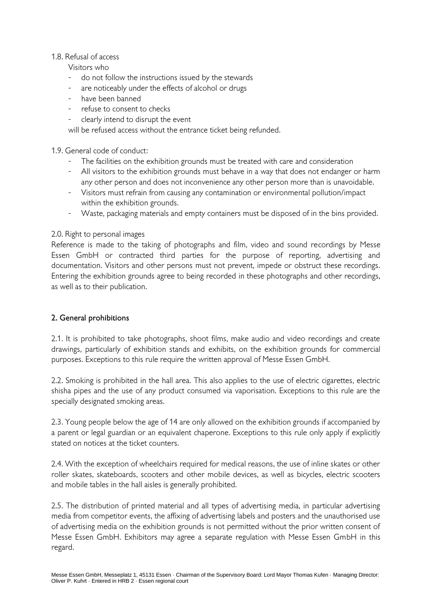#### 1.8. Refusal of access

Visitors who

- do not follow the instructions issued by the stewards
- are noticeably under the effects of alcohol or drugs
- have been banned
- refuse to consent to checks
- clearly intend to disrupt the event

will be refused access without the entrance ticket being refunded.

#### 1.9. General code of conduct:

- The facilities on the exhibition grounds must be treated with care and consideration
- All visitors to the exhibition grounds must behave in a way that does not endanger or harm any other person and does not inconvenience any other person more than is unavoidable.
- Visitors must refrain from causing any contamination or environmental pollution/impact within the exhibition grounds.
- Waste, packaging materials and empty containers must be disposed of in the bins provided.

### 2.0. Right to personal images

Reference is made to the taking of photographs and film, video and sound recordings by Messe Essen GmbH or contracted third parties for the purpose of reporting, advertising and documentation. Visitors and other persons must not prevent, impede or obstruct these recordings. Entering the exhibition grounds agree to being recorded in these photographs and other recordings, as well as to their publication.

### 2. General prohibitions

2.1. It is prohibited to take photographs, shoot films, make audio and video recordings and create drawings, particularly of exhibition stands and exhibits, on the exhibition grounds for commercial purposes. Exceptions to this rule require the written approval of Messe Essen GmbH.

2.2. Smoking is prohibited in the hall area. This also applies to the use of electric cigarettes, electric shisha pipes and the use of any product consumed via vaporisation. Exceptions to this rule are the specially designated smoking areas.

2.3. Young people below the age of 14 are only allowed on the exhibition grounds if accompanied by a parent or legal guardian or an equivalent chaperone. Exceptions to this rule only apply if explicitly stated on notices at the ticket counters.

2.4. With the exception of wheelchairs required for medical reasons, the use of inline skates or other roller skates, skateboards, scooters and other mobile devices, as well as bicycles, electric scooters and mobile tables in the hall aisles is generally prohibited.

2.5. The distribution of printed material and all types of advertising media, in particular advertising media from competitor events, the affixing of advertising labels and posters and the unauthorised use of advertising media on the exhibition grounds is not permitted without the prior written consent of Messe Essen GmbH. Exhibitors may agree a separate regulation with Messe Essen GmbH in this regard.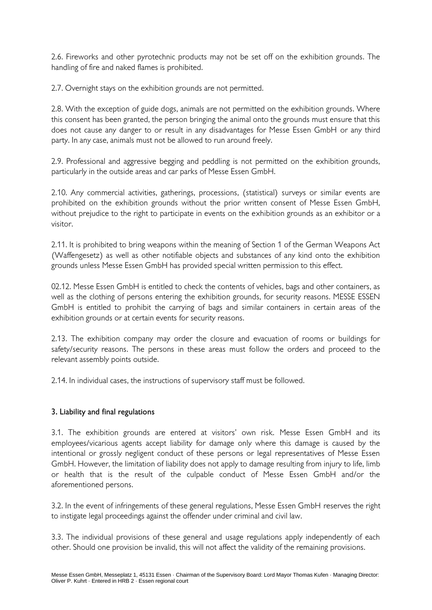2.6. Fireworks and other pyrotechnic products may not be set off on the exhibition grounds. The handling of fire and naked flames is prohibited.

2.7. Overnight stays on the exhibition grounds are not permitted.

2.8. With the exception of guide dogs, animals are not permitted on the exhibition grounds. Where this consent has been granted, the person bringing the animal onto the grounds must ensure that this does not cause any danger to or result in any disadvantages for Messe Essen GmbH or any third party. In any case, animals must not be allowed to run around freely.

2.9. Professional and aggressive begging and peddling is not permitted on the exhibition grounds, particularly in the outside areas and car parks of Messe Essen GmbH.

2.10. Any commercial activities, gatherings, processions, (statistical) surveys or similar events are prohibited on the exhibition grounds without the prior written consent of Messe Essen GmbH, without prejudice to the right to participate in events on the exhibition grounds as an exhibitor or a visitor.

2.11. It is prohibited to bring weapons within the meaning of Section 1 of the German Weapons Act (Waffengesetz) as well as other notifiable objects and substances of any kind onto the exhibition grounds unless Messe Essen GmbH has provided special written permission to this effect.

02.12. Messe Essen GmbH is entitled to check the contents of vehicles, bags and other containers, as well as the clothing of persons entering the exhibition grounds, for security reasons. MESSE ESSEN GmbH is entitled to prohibit the carrying of bags and similar containers in certain areas of the exhibition grounds or at certain events for security reasons.

2.13. The exhibition company may order the closure and evacuation of rooms or buildings for safety/security reasons. The persons in these areas must follow the orders and proceed to the relevant assembly points outside.

2.14. In individual cases, the instructions of supervisory staff must be followed.

### 3. Liability and final regulations

3.1. The exhibition grounds are entered at visitors' own risk. Messe Essen GmbH and its employees/vicarious agents accept liability for damage only where this damage is caused by the intentional or grossly negligent conduct of these persons or legal representatives of Messe Essen GmbH. However, the limitation of liability does not apply to damage resulting from injury to life, limb or health that is the result of the culpable conduct of Messe Essen GmbH and/or the aforementioned persons.

3.2. In the event of infringements of these general regulations, Messe Essen GmbH reserves the right to instigate legal proceedings against the offender under criminal and civil law.

3.3. The individual provisions of these general and usage regulations apply independently of each other. Should one provision be invalid, this will not affect the validity of the remaining provisions.